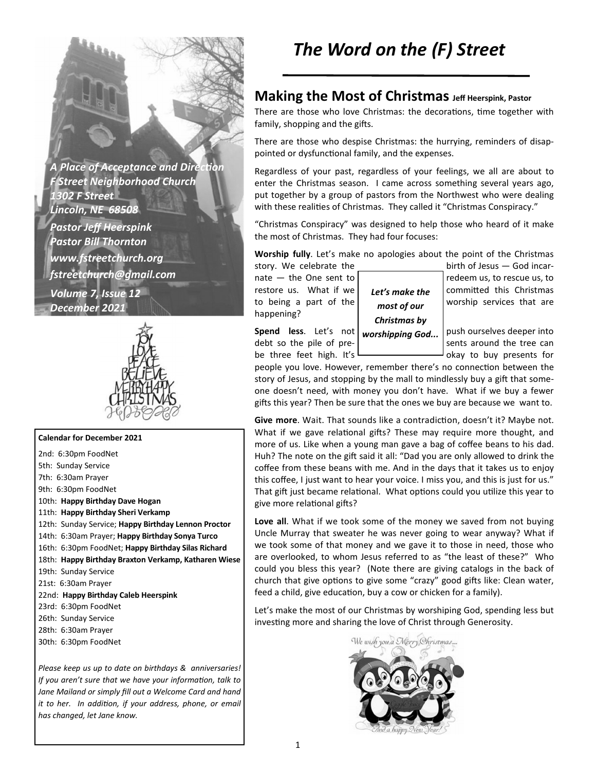**A Place of Acceptance and Direction** *F Street Neighborhood Church 1302 F Street Lincoln, NE 68508 Pastor Jeff Heerspink Pastor Bill Thornton www.fstreetchurch.org fstreetchurch@gmail.com Volume 7, Issue 12 December 2021* 



#### **Calendar for December 2021**

2nd: 6:30pm FoodNet 5th: Sunday Service 7th: 6:30am Prayer 9th: 6:30pm FoodNet 10th: **Happy Birthday Dave Hogan**  11th: **Happy Birthday Sheri Verkamp**  12th: Sunday Service; **Happy Birthday Lennon Proctor**  14th: 6:30am Prayer; **Happy Birthday Sonya Turco**  16th: 6:30pm FoodNet; **Happy Birthday Silas Richard**  18th: **Happy Birthday Braxton Verkamp, Katharen Wiese**  19th: Sunday Service 21st: 6:30am Prayer 22nd: **Happy Birthday Caleb Heerspink**  23rd: 6:30pm FoodNet 26th: Sunday Service 28th: 6:30am Prayer 30th: 6:30pm FoodNet

*Please keep us up to date on birthdays & anniversaries! If you aren't sure that we have your information, talk to Jane Mailand or simply fill out a Welcome Card and hand it to her. In addition, if your address, phone, or email has changed, let Jane know.* 

### **Making the Most of Christmas Jeff Heerspink, Pastor**

There are those who love Christmas: the decorations, time together with family, shopping and the gifts.

There are those who despise Christmas: the hurrying, reminders of disappointed or dysfunctional family, and the expenses.

Regardless of your past, regardless of your feelings, we all are about to enter the Christmas season. I came across something several years ago, put together by a group of pastors from the Northwest who were dealing with these realities of Christmas. They called it "Christmas Conspiracy."

"Christmas Conspiracy" was designed to help those who heard of it make the most of Christmas. They had four focuses:

**Worship fully**. Let's make no apologies about the point of the Christmas story. We celebrate the birth of Jesus — God incar-

happening?

*Let's make the most of our Christmas by worshipping God...* 

nate  $-$  the One sent to  $\vert$  redeem us, to rescue us, to restore us. What if we  $\int$   $I$  or's make the committed this Christmas to being a part of the  $\begin{bmatrix} 1 & 1 \\ 0 & 1 \end{bmatrix}$  worship services that are

**Spend less.** Let's not *uncretinging God* push ourselves deeper into debt so the pile of pre- $\begin{vmatrix} 1 & 1 \\ 1 & 1 \end{vmatrix}$  sents around the tree can be three feet high. It's  $\Box$   $\Box$   $\Box$  okay to buy presents for

people you love. However, remember there's no connection between the story of Jesus, and stopping by the mall to mindlessly buy a gift that someone doesn't need, with money you don't have. What if we buy a fewer gifts this year? Then be sure that the ones we buy are because we want to.

**Give more.** Wait. That sounds like a contradiction, doesn't it? Maybe not. What if we gave relational gifts? These may require more thought, and more of us. Like when a young man gave a bag of coffee beans to his dad. Huh? The note on the gift said it all: "Dad you are only allowed to drink the coffee from these beans with me. And in the days that it takes us to enjoy this coffee, I just want to hear your voice. I miss you, and this is just for us." That gift just became relational. What options could you utilize this year to give more relational gifts?

**Love all**. What if we took some of the money we saved from not buying Uncle Murray that sweater he was never going to wear anyway? What if we took some of that money and we gave it to those in need, those who are overlooked, to whom Jesus referred to as "the least of these?" Who could you bless this year? (Note there are giving catalogs in the back of church that give options to give some "crazy" good gifts like: Clean water, feed a child, give education, buy a cow or chicken for a family).

Let's make the most of our Christmas by worshiping God, spending less but investing more and sharing the love of Christ through Generosity.

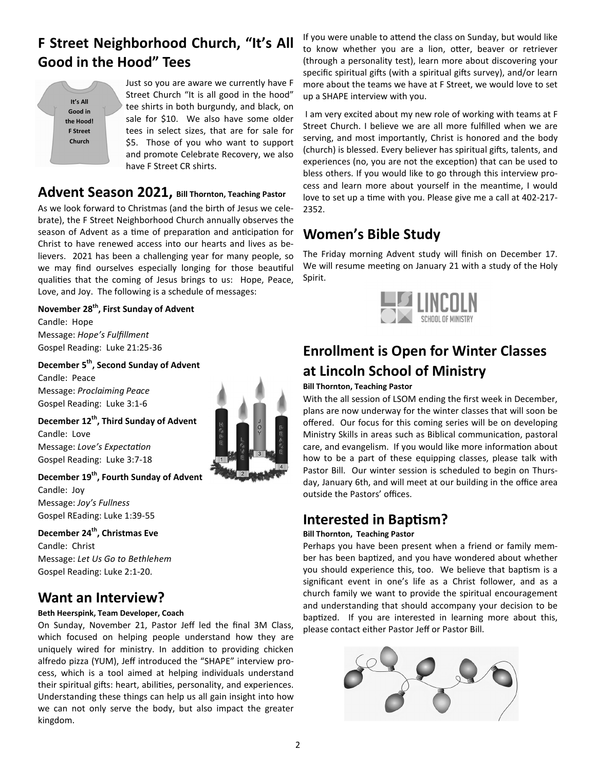# **F Street Neighborhood Church, "It's All Good in the Hood" Tees**

| It's All        |
|-----------------|
| Good in         |
| the Hood!       |
| <b>F</b> Street |
| Church          |
|                 |

Just so you are aware we currently have F Street Church "It is all good in the hood" tee shirts in both burgundy, and black, on sale for \$10. We also have some older tees in select sizes, that are for sale for \$5. Those of you who want to support and promote Celebrate Recovery, we also have F Street CR shirts.

# **Advent Season 2021, Bill Thornton, Teaching Pastor**

As we look forward to Christmas (and the birth of Jesus we celebrate), the F Street Neighborhood Church annually observes the season of Advent as a time of preparation and anticipation for Christ to have renewed access into our hearts and lives as believers. 2021 has been a challenging year for many people, so we may find ourselves especially longing for those beautiful qualities that the coming of Jesus brings to us: Hope, Peace, Love, and Joy. The following is a schedule of messages:

#### **November 28th, First Sunday of Advent**

Candle: Hope Message: *Hope's Fulfillment*  Gospel Reading: Luke 21:25-36

### **December 5th, Second Sunday of Advent**

Candle: Peace Message: *Proclaiming Peace*  Gospel Reading: Luke 3:1-6

**December 12th, Third Sunday of Advent**  Candle: Love Message: Love's Expectation Gospel Reading: Luke 3:7-18

#### **December 19th, Fourth Sunday of Advent**

Candle: Joy Message: *Joy's Fullness*  Gospel REading: Luke 1:39-55

**December 24th, Christmas Eve**  Candle: Christ Message: *Let Us Go to Bethlehem*  Gospel Reading: Luke 2:1-20.

# **Want an Interview?**

#### **Beth Heerspink, Team Developer, Coach**

On Sunday, November 21, Pastor Jeff led the final 3M Class, which focused on helping people understand how they are uniquely wired for ministry. In addition to providing chicken alfredo pizza (YUM), Jeff introduced the "SHAPE" interview process, which is a tool aimed at helping individuals understand their spiritual gifts: heart, abilities, personality, and experiences. Understanding these things can help us all gain insight into how we can not only serve the body, but also impact the greater kingdom.



If you were unable to attend the class on Sunday, but would like to know whether you are a lion, otter, beaver or retriever (through a personality test), learn more about discovering your specific spiritual gifts (with a spiritual gifts survey), and/or learn more about the teams we have at F Street, we would love to set up a SHAPE interview with you.

 I am very excited about my new role of working with teams at F Street Church. I believe we are all more fulfilled when we are serving, and most importantly, Christ is honored and the body (church) is blessed. Every believer has spiritual gifts, talents, and experiences (no, you are not the exception) that can be used to bless others. If you would like to go through this interview process and learn more about yourself in the meantime, I would love to set up a time with you. Please give me a call at 402-217-2352.

## **Women's Bible Study**

The Friday morning Advent study will finish on December 17. We will resume meeting on January 21 with a study of the Holy Spirit.



# **Enrollment is Open for Winter Classes at Lincoln School of Ministry**

#### **Bill Thornton, Teaching Pastor**

With the all session of LSOM ending the first week in December, plans are now underway for the winter classes that will soon be offered. Our focus for this coming series will be on developing Ministry Skills in areas such as Biblical communication, pastoral care, and evangelism. If you would like more information about how to be a part of these equipping classes, please talk with Pastor Bill. Our winter session is scheduled to begin on Thursday, January 6th, and will meet at our building in the office area outside the Pastors' offices.

## **Interested in Baptism?**

#### **Bill Thornton, Teaching Pastor**

Perhaps you have been present when a friend or family member has been baptized, and you have wondered about whether you should experience this, too. We believe that baptism is a significant event in one's life as a Christ follower, and as a church family we want to provide the spiritual encouragement and understanding that should accompany your decision to be baptized. If you are interested in learning more about this, please contact either Pastor Jeff or Pastor Bill.

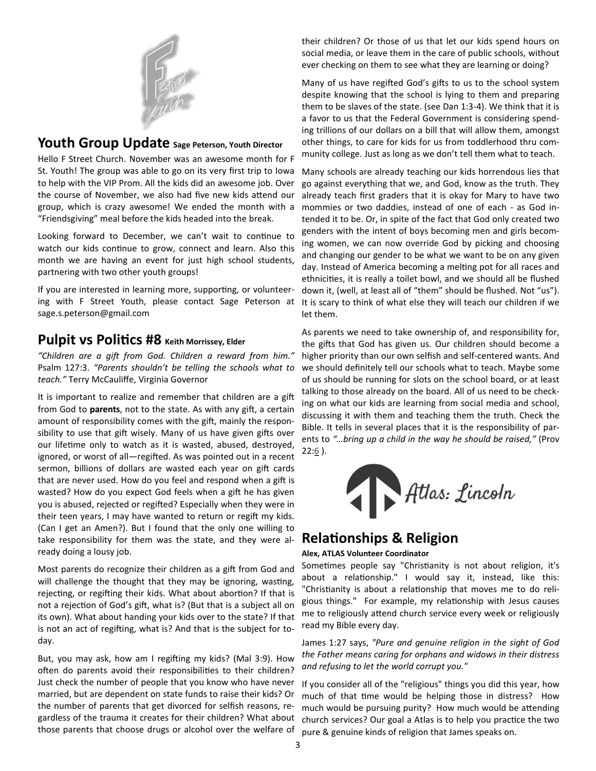

### **Youth Group Update Sage Peterson, Youth Director**

Hello F Street Church. November was an awesome month for F St. Youth! The group was able to go on its very first trip to Iowa to help with the VIP Prom. All the kids did an awesome job. Over the course of November, we also had five new kids attend our group, which is crazy awesome! We ended the month with a "Friendsgiving" meal before the kids headed into the break.

Looking forward to December, we can't wait to continue to watch our kids continue to grow, connect and learn. Also this month we are having an event for just high school students, partnering with two other youth groups!

If you are interested in learning more, supporting, or volunteering with F Street Youth, please contact Sage Peterson at sage.s.peterson@gmail.com

## **Pulpit vs Politics #8** Keith Morrissey, Elder

"Children are a gift from God. Children a reward from him." Psalm 127:3. *"Parents shouldn't be telling the schools what to teach."* Terry McCauliffe, Virginia Governor

It is important to realize and remember that children are a gift from God to **parents**, not to the state. As with any gift, a certain amount of responsibility comes with the gift, mainly the responsibility to use that gift wisely. Many of us have given gifts over our lifetime only to watch as it is wasted, abused, destroyed, ignored, or worst of all—regifted. As was pointed out in a recent sermon, billions of dollars are wasted each year on gift cards that are never used. How do you feel and respond when a gift is wasted? How do you expect God feels when a gift he has given you is abused, rejected or regifted? Especially when they were in their teen years, I may have wanted to return or regift my kids. (Can I get an Amen?). But I found that the only one willing to take responsibility for them was the state, and they were already doing a lousy job.

Most parents do recognize their children as a gift from God and will challenge the thought that they may be ignoring, wasting, rejecting, or regifting their kids. What about abortion? If that is not a rejection of God's gift, what is? (But that is a subject all on its own). What about handing your kids over to the state? If that is not an act of regifting, what is? And that is the subject for today.

But, you may ask, how am I regifting my kids? (Mal 3:9). How often do parents avoid their responsibilities to their children? Just check the number of people that you know who have never married, but are dependent on state funds to raise their kids? Or the number of parents that get divorced for selfish reasons, regardless of the trauma it creates for their children? What about those parents that choose drugs or alcohol over the welfare of

their children? Or those of us that let our kids spend hours on social media, or leave them in the care of public schools, without ever checking on them to see what they are learning or doing?

Many of us have regifted God's gifts to us to the school system despite knowing that the school is lying to them and preparing them to be slaves of the state. (see Dan 1:3-4). We think that it is a favor to us that the Federal Government is considering spending trillions of our dollars on a bill that will allow them, amongst other things, to care for kids for us from toddlerhood thru community college. Just as long as we don't tell them what to teach.

Many schools are already teaching our kids horrendous lies that go against everything that we, and God, know as the truth. They already teach first graders that it is okay for Mary to have two mommies or two daddies, instead of one of each - as God intended it to be. Or, in spite of the fact that God only created two genders with the intent of boys becoming men and girls becoming women, we can now override God by picking and choosing and changing our gender to be what we want to be on any given day. Instead of America becoming a melting pot for all races and ethnicities, it is really a toilet bowl, and we should all be flushed down it, (well, at least all of "them" should be flushed. Not "us"). It is scary to think of what else they will teach our children if we let them.

As parents we need to take ownership of, and responsibility for, the gifts that God has given us. Our children should become a higher priority than our own selfish and self-centered wants. And we should definitely tell our schools what to teach. Maybe some of us should be running for slots on the school board, or at least talking to those already on the board. All of us need to be checking on what our kids are learning from social media and school, discussing it with them and teaching them the truth. Check the Bible. It tells in several places that it is the responsibility of parents to *"…bring up a child in the way he should be raised,"* (Prov  $22:6$ ).



## **Relationships & Religion**

#### **Alex, ATLAS Volunteer Coordinator**

Sometimes people say "Christianity is not about religion, it's about a relationship." I would say it, instead, like this: "Christianity is about a relationship that moves me to do religious things." For example, my relationship with Jesus causes me to religiously attend church service every week or religiously read my Bible every day.

James 1:27 says, *"Pure and genuine religion in the sight of God the Father means caring for orphans and widows in their distress and refusing to let the world corrupt you."* 

If you consider all of the "religious" things you did this year, how much of that time would be helping those in distress? How much would be pursuing purity? How much would be attending church services? Our goal a Atlas is to help you practice the two pure & genuine kinds of religion that James speaks on.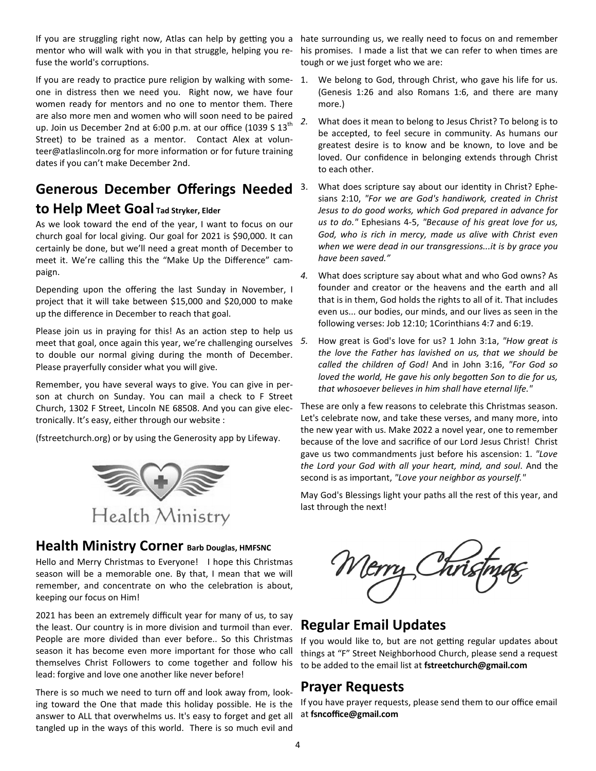If you are struggling right now, Atlas can help by getting you a hate surrounding us, we really need to focus on and remember mentor who will walk with you in that struggle, helping you refuse the world's corruptions.

If you are ready to practice pure religion by walking with someone in distress then we need you. Right now, we have four women ready for mentors and no one to mentor them. There are also more men and women who will soon need to be paired up. Join us December 2nd at 6:00 p.m. at our office (1039 S  $13<sup>th</sup>$ Street) to be trained as a mentor. Contact Alex at volunteer@atlaslincoln.org for more information or for future training dates if you can't make December 2nd.

## **Generous December Offerings Needed to Help Meet Goal Tad Stryker, Elder**

As we look toward the end of the year, I want to focus on our church goal for local giving. Our goal for 2021 is \$90,000. It can certainly be done, but we'll need a great month of December to meet it. We're calling this the "Make Up the Difference" campaign.

Depending upon the offering the last Sunday in November, I project that it will take between \$15,000 and \$20,000 to make up the difference in December to reach that goal.

Please join us in praying for this! As an action step to help us meet that goal, once again this year, we're challenging ourselves to double our normal giving during the month of December. Please prayerfully consider what you will give.

Remember, you have several ways to give. You can give in person at church on Sunday. You can mail a check to F Street Church, 1302 F Street, Lincoln NE 68508. And you can give electronically. It's easy, either through our website :

(fstreetchurch.org) or by using the Generosity app by Lifeway.



#### **Health Ministry Corner Barb Douglas, HMFSNC**

Hello and Merry Christmas to Everyone! I hope this Christmas season will be a memorable one. By that, I mean that we will remember, and concentrate on who the celebration is about, keeping our focus on Him!

2021 has been an extremely difficult year for many of us, to say the least. Our country is in more division and turmoil than ever. People are more divided than ever before.. So this Christmas season it has become even more important for those who call themselves Christ Followers to come together and follow his lead: forgive and love one another like never before!

There is so much we need to turn off and look away from, looking toward the One that made this holiday possible. He is the answer to ALL that overwhelms us. It's easy to forget and get all tangled up in the ways of this world. There is so much evil and

his promises. I made a list that we can refer to when times are tough or we just forget who we are:

- 1. We belong to God, through Christ, who gave his life for us. (Genesis 1:26 and also Romans 1:6, and there are many more.)
- *2.* What does it mean to belong to Jesus Christ? To belong is to be accepted, to feel secure in community. As humans our greatest desire is to know and be known, to love and be loved. Our confidence in belonging extends through Christ to each other.
	- What does scripture say about our identity in Christ? Ephesians 2:10, *"For we are God's handiwork, created in Christ Jesus to do good works, which God prepared in advance for us to do."* Ephesians 4-5, *"Because of his great love for us, God, who is rich in mercy, made us alive with Christ even when we were dead in our transgressions...it is by grace you have been saved."*
- *4.* What does scripture say about what and who God owns? As founder and creator or the heavens and the earth and all that is in them, God holds the rights to all of it. That includes even us... our bodies, our minds, and our lives as seen in the following verses: Job 12:10; 1Corinthians 4:7 and 6:19.
- *5.* How great is God's love for us? 1 John 3:1a, *"How great is the love the Father has lavished on us, that we should be called the children of God!* And in John 3:16, *"For God so loved the world, He gave his only begotten Son to die for us, that whosoever believes in him shall have eternal life."*

These are only a few reasons to celebrate this Christmas season. Let's celebrate now, and take these verses, and many more, into the new year with us. Make 2022 a novel year, one to remember because of the love and sacrifice of our Lord Jesus Christ! Christ gave us two commandments just before his ascension: 1. *"Love the Lord your God with all your heart, mind, and soul*. And the second is as important, *"Love your neighbor as yourself."* 

May God's Blessings light your paths all the rest of this year, and last through the next!

## **Regular Email Updates**

If you would like to, but are not getting regular updates about things at "F" Street Neighborhood Church, please send a request to be added to the email list at **fstreetchurch@gmail.com**

## **Prayer Requests**

If you have prayer requests, please send them to our office email at **fsncoffice@gmail.com**